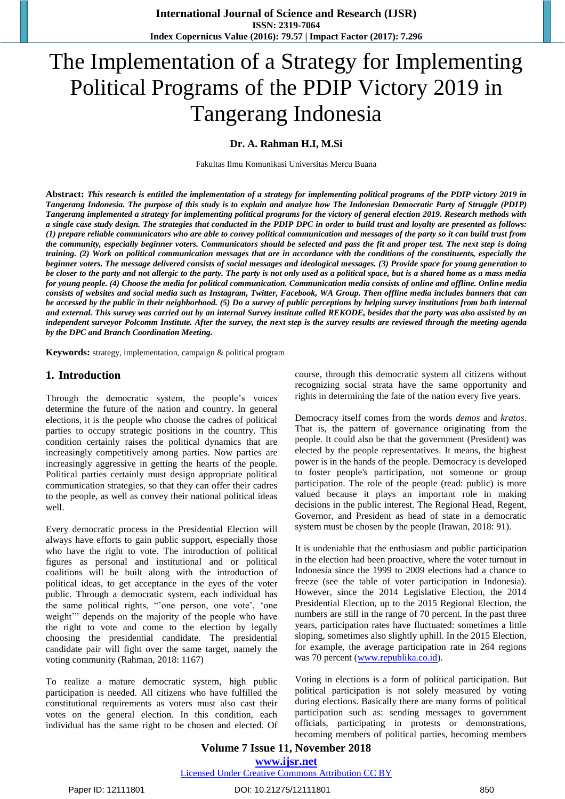# The Implementation of a Strategy for Implementing Political Programs of the PDIP Victory 2019 in Tangerang Indonesia

**Dr. A. Rahman H.I, M.Si**

Fakultas Ilmu Komunikasi Universitas Mercu Buana

**Abstract:** *This research is entitled the implementation of a strategy for implementing political programs of the PDIP victory 2019 in Tangerang Indonesia. The purpose of this study is to explain and analyze how The Indonesian Democratic Party of Struggle (PDIP) Tangerang implemented a strategy for implementing political programs for the victory of general election 2019. Research methods with a single case study design. The strategies that conducted in the PDIP DPC in order to build trust and loyalty are presented as follows: (1) prepare reliable communicators who are able to convey political communication and messages of the party so it can build trust from the community, especially beginner voters. Communicators should be selected and pass the fit and proper test. The next step is doing training. (2) Work on political communication messages that are in accordance with the conditions of the constituents, especially the beginner voters. The message delivered consists of social messages and ideological messages. (3) Provide space for young generation to be closer to the party and not allergic to the party. The party is not only used as a political space, but is a shared home as a mass media for young people. (4) Choose the media for political communication. Communication media consists of online and offline. Online media consists of websites and social media such as Instagram, Twitter, Facebook, WA Group. Then offline media includes banners that can be accessed by the public in their neighborhood. (5) Do a survey of public perceptions by helping survey institutions from both internal and external. This survey was carried out by an internal Survey institute called REKODE, besides that the party was also assisted by an independent surveyor Polcomm Institute. After the survey, the next step is the survey results are reviewed through the meeting agenda by the DPC and Branch Coordination Meeting.*

**Keywords:** strategy, implementation, campaign & political program

#### **1. Introduction**

Through the democratic system, the people"s voices determine the future of the nation and country. In general elections, it is the people who choose the cadres of political parties to occupy strategic positions in the country. This condition certainly raises the political dynamics that are increasingly competitively among parties. Now parties are increasingly aggressive in getting the hearts of the people. Political parties certainly must design appropriate political communication strategies, so that they can offer their cadres to the people, as well as convey their national political ideas well.

Every democratic process in the Presidential Election will always have efforts to gain public support, especially those who have the right to vote. The introduction of political figures as personal and institutional and or political coalitions will be built along with the introduction of political ideas, to get acceptance in the eyes of the voter public. Through a democratic system, each individual has the same political rights, "one person, one vote', 'one weight" depends on the majority of the people who have the right to vote and come to the election by legally choosing the presidential candidate. The presidential candidate pair will fight over the same target, namely the voting community (Rahman, 2018: 1167)

To realize a mature democratic system, high public participation is needed. All citizens who have fulfilled the constitutional requirements as voters must also cast their votes on the general election. In this condition, each individual has the same right to be chosen and elected. Of course, through this democratic system all citizens without recognizing social strata have the same opportunity and rights in determining the fate of the nation every five years.

Democracy itself comes from the words *demos* and *kratos*. That is, the pattern of governance originating from the people. It could also be that the government (President) was elected by the people representatives. It means, the highest power is in the hands of the people. Democracy is developed to foster people's participation, not someone or group participation. The role of the people (read: public) is more valued because it plays an important role in making decisions in the public interest. The Regional Head, Regent, Governor, and President as head of state in a democratic system must be chosen by the people (Irawan, 2018: 91).

It is undeniable that the enthusiasm and public participation in the election had been proactive, where the voter turnout in Indonesia since the 1999 to 2009 elections had a chance to freeze (see the table of voter participation in Indonesia). However, since the 2014 Legislative Election, the 2014 Presidential Election, up to the 2015 Regional Election, the numbers are still in the range of 70 percent. In the past three years, participation rates have fluctuated: sometimes a little sloping, sometimes also slightly uphill. In the 2015 Election, for example, the average participation rate in 264 regions was 70 percent [\(www.republika.co.id\)](http://www.republika.co.id/).

Voting in elections is a form of political participation. But political participation is not solely measured by voting during elections. Basically there are many forms of political participation such as: sending messages to government officials, participating in protests or demonstrations, becoming members of political parties, becoming members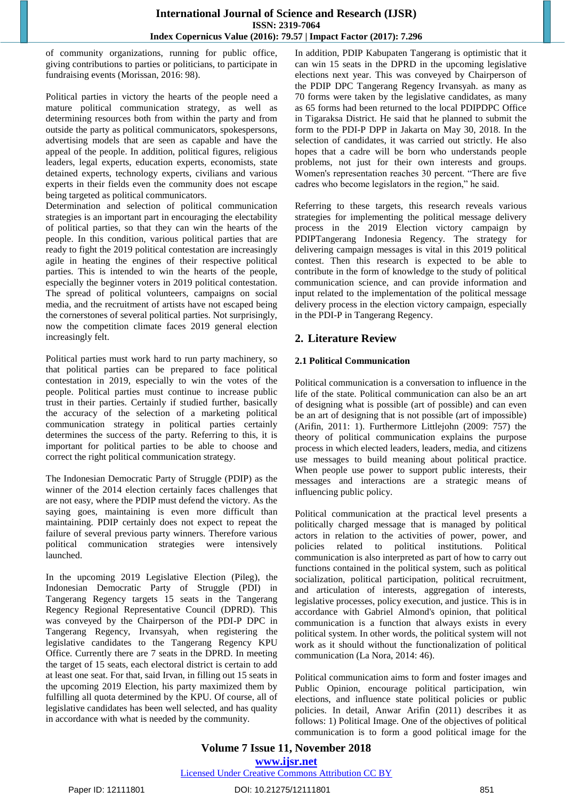of community organizations, running for public office, giving contributions to parties or politicians, to participate in fundraising events (Morissan, 2016: 98).

Political parties in victory the hearts of the people need a mature political communication strategy, as well as determining resources both from within the party and from outside the party as political communicators, spokespersons, advertising models that are seen as capable and have the appeal of the people. In addition, political figures, religious leaders, legal experts, education experts, economists, state detained experts, technology experts, civilians and various experts in their fields even the community does not escape being targeted as political communicators.

Determination and selection of political communication strategies is an important part in encouraging the electability of political parties, so that they can win the hearts of the people. In this condition, various political parties that are ready to fight the 2019 political contestation are increasingly agile in heating the engines of their respective political parties. This is intended to win the hearts of the people, especially the beginner voters in 2019 political contestation. The spread of political volunteers, campaigns on social media, and the recruitment of artists have not escaped being the cornerstones of several political parties. Not surprisingly, now the competition climate faces 2019 general election increasingly felt.

Political parties must work hard to run party machinery, so that political parties can be prepared to face political contestation in 2019, especially to win the votes of the people. Political parties must continue to increase public trust in their parties. Certainly if studied further, basically the accuracy of the selection of a marketing political communication strategy in political parties certainly determines the success of the party. Referring to this, it is important for political parties to be able to choose and correct the right political communication strategy.

The Indonesian Democratic Party of Struggle (PDIP) as the winner of the 2014 election certainly faces challenges that are not easy, where the PDIP must defend the victory. As the saying goes, maintaining is even more difficult than maintaining. PDIP certainly does not expect to repeat the failure of several previous party winners. Therefore various political communication strategies were intensively launched.

In the upcoming 2019 Legislative Election (Pileg), the Indonesian Democratic Party of Struggle (PDI) in Tangerang Regency targets 15 seats in the Tangerang Regency Regional Representative Council (DPRD). This was conveyed by the Chairperson of the PDI-P DPC in Tangerang Regency, Irvansyah, when registering the legislative candidates to the Tangerang Regency KPU Office. Currently there are 7 seats in the DPRD. In meeting the target of 15 seats, each electoral district is certain to add at least one seat. For that, said Irvan, in filling out 15 seats in the upcoming 2019 Election, his party maximized them by fulfilling all quota determined by the KPU. Of course, all of legislative candidates has been well selected, and has quality in accordance with what is needed by the community.

In addition, PDIP Kabupaten Tangerang is optimistic that it can win 15 seats in the DPRD in the upcoming legislative elections next year. This was conveyed by Chairperson of the PDIP DPC Tangerang Regency Irvansyah. as many as 70 forms were taken by the legislative candidates, as many as 65 forms had been returned to the local PDIPDPC Office in Tigaraksa District. He said that he planned to submit the form to the PDI-P DPP in Jakarta on May 30, 2018. In the selection of candidates, it was carried out strictly. He also hopes that a cadre will be born who understands people problems, not just for their own interests and groups. Women's representation reaches 30 percent. "There are five cadres who become legislators in the region," he said.

Referring to these targets, this research reveals various strategies for implementing the political message delivery process in the 2019 Election victory campaign by PDIPTangerang Indonesia Regency. The strategy for delivering campaign messages is vital in this 2019 political contest. Then this research is expected to be able to contribute in the form of knowledge to the study of political communication science, and can provide information and input related to the implementation of the political message delivery process in the election victory campaign, especially in the PDI-P in Tangerang Regency.

# **2. Literature Review**

## **2.1 Political Communication**

Political communication is a conversation to influence in the life of the state. Political communication can also be an art of designing what is possible (art of possible) and can even be an art of designing that is not possible (art of impossible) (Arifin, 2011: 1). Furthermore Littlejohn (2009: 757) the theory of political communication explains the purpose process in which elected leaders, leaders, media, and citizens use messages to build meaning about political practice. When people use power to support public interests, their messages and interactions are a strategic means of influencing public policy.

Political communication at the practical level presents a politically charged message that is managed by political actors in relation to the activities of power, power, and policies related to political institutions. Political communication is also interpreted as part of how to carry out functions contained in the political system, such as political socialization, political participation, political recruitment, and articulation of interests, aggregation of interests, legislative processes, policy execution, and justice. This is in accordance with Gabriel Almond's opinion, that political communication is a function that always exists in every political system. In other words, the political system will not work as it should without the functionalization of political communication (La Nora, 2014: 46).

Political communication aims to form and foster images and Public Opinion, encourage political participation, win elections, and influence state political policies or public policies. In detail, Anwar Arifin (2011) describes it as follows: 1) Political Image. One of the objectives of political communication is to form a good political image for the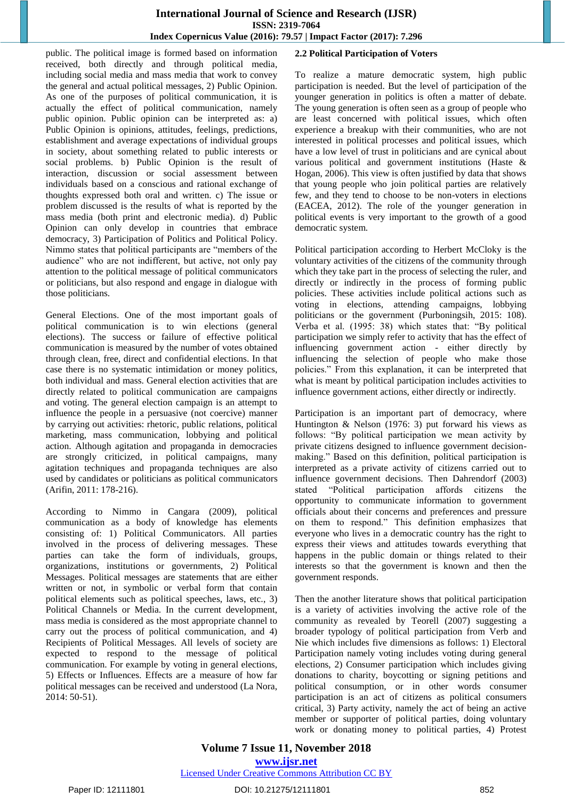#### **International Journal of Science and Research (IJSR) ISSN: 2319-7064 Index Copernicus Value (2016): 79.57 | Impact Factor (2017): 7.296**

public. The political image is formed based on information received, both directly and through political media, including social media and mass media that work to convey the general and actual political messages, 2) Public Opinion. As one of the purposes of political communication, it is actually the effect of political communication, namely public opinion. Public opinion can be interpreted as: a) Public Opinion is opinions, attitudes, feelings, predictions, establishment and average expectations of individual groups in society, about something related to public interests or social problems. b) Public Opinion is the result of interaction, discussion or social assessment between individuals based on a conscious and rational exchange of thoughts expressed both oral and written. c) The issue or problem discussed is the results of what is reported by the mass media (both print and electronic media). d) Public Opinion can only develop in countries that embrace democracy, 3) Participation of Politics and Political Policy. Nimmo states that political participants are "members of the audience" who are not indifferent, but active, not only pay attention to the political message of political communicators or politicians, but also respond and engage in dialogue with those politicians.

General Elections. One of the most important goals of political communication is to win elections (general elections). The success or failure of effective political communication is measured by the number of votes obtained through clean, free, direct and confidential elections. In that case there is no systematic intimidation or money politics, both individual and mass. General election activities that are directly related to political communication are campaigns and voting. The general election campaign is an attempt to influence the people in a persuasive (not coercive) manner by carrying out activities: rhetoric, public relations, political marketing, mass communication, lobbying and political action. Although agitation and propaganda in democracies are strongly criticized, in political campaigns, many agitation techniques and propaganda techniques are also used by candidates or politicians as political communicators (Arifin, 2011: 178-216).

According to Nimmo in Cangara (2009), political communication as a body of knowledge has elements consisting of: 1) Political Communicators. All parties involved in the process of delivering messages. These parties can take the form of individuals, groups, organizations, institutions or governments, 2) Political Messages. Political messages are statements that are either written or not, in symbolic or verbal form that contain political elements such as political speeches, laws, etc., 3) Political Channels or Media. In the current development, mass media is considered as the most appropriate channel to carry out the process of political communication, and 4) Recipients of Political Messages. All levels of society are expected to respond to the message of political communication. For example by voting in general elections, 5) Effects or Influences. Effects are a measure of how far political messages can be received and understood (La Nora, 2014: 50-51).

## **2.2 Political Participation of Voters**

To realize a mature democratic system, high public participation is needed. But the level of participation of the younger generation in politics is often a matter of debate. The young generation is often seen as a group of people who are least concerned with political issues, which often experience a breakup with their communities, who are not interested in political processes and political issues, which have a low level of trust in politicians and are cynical about various political and government institutions (Haste & Hogan, 2006). This view is often justified by data that shows that young people who join political parties are relatively few, and they tend to choose to be non-voters in elections (EACEA, 2012). The role of the younger generation in political events is very important to the growth of a good democratic system.

Political participation according to Herbert McCloky is the voluntary activities of the citizens of the community through which they take part in the process of selecting the ruler, and directly or indirectly in the process of forming public policies. These activities include political actions such as voting in elections, attending campaigns, lobbying politicians or the government (Purboningsih, 2015: 108). Verba et al. (1995: 38) which states that: "By political participation we simply refer to activity that has the effect of influencing government action - either directly by influencing the selection of people who make those policies." From this explanation, it can be interpreted that what is meant by political participation includes activities to influence government actions, either directly or indirectly.

Participation is an important part of democracy, where Huntington & Nelson (1976: 3) put forward his views as follows: "By political participation we mean activity by private citizens designed to influence government decisionmaking." Based on this definition, political participation is interpreted as a private activity of citizens carried out to influence government decisions. Then Dahrendorf (2003) stated "Political participation affords citizens the opportunity to communicate information to government officials about their concerns and preferences and pressure on them to respond." This definition emphasizes that everyone who lives in a democratic country has the right to express their views and attitudes towards everything that happens in the public domain or things related to their interests so that the government is known and then the government responds.

Then the another literature shows that political participation is a variety of activities involving the active role of the community as revealed by Teorell (2007) suggesting a broader typology of political participation from Verb and Nie which includes five dimensions as follows: 1) Electoral Participation namely voting includes voting during general elections, 2) Consumer participation which includes giving donations to charity, boycotting or signing petitions and political consumption, or in other words consumer participation is an act of citizens as political consumers critical, 3) Party activity, namely the act of being an active member or supporter of political parties, doing voluntary work or donating money to political parties, 4) Protest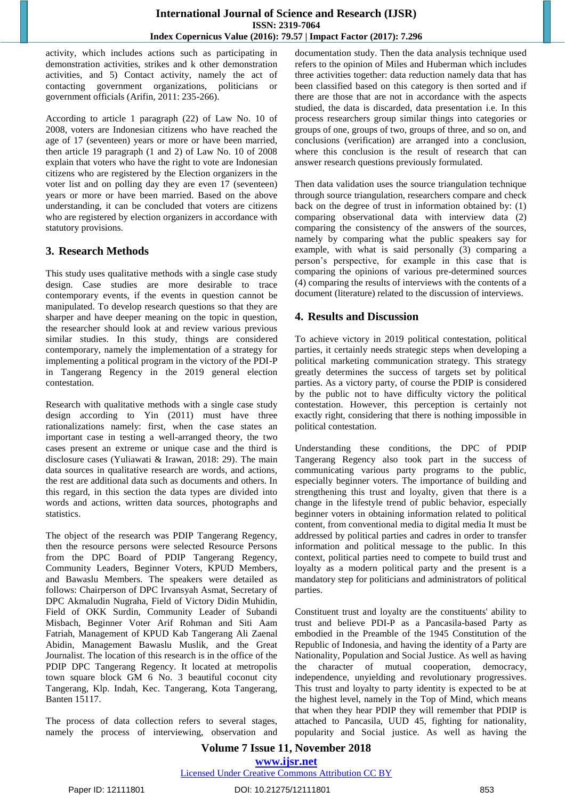activity, which includes actions such as participating in demonstration activities, strikes and k other demonstration activities, and 5) Contact activity, namely the act of contacting government organizations, politicians or government officials (Arifin, 2011: 235-266).

According to article 1 paragraph (22) of Law No. 10 of 2008, voters are Indonesian citizens who have reached the age of 17 (seventeen) years or more or have been married, then article 19 paragraph (1 and 2) of Law No. 10 of 2008 explain that voters who have the right to vote are Indonesian citizens who are registered by the Election organizers in the voter list and on polling day they are even 17 (seventeen) years or more or have been married. Based on the above understanding, it can be concluded that voters are citizens who are registered by election organizers in accordance with statutory provisions.

# **3. Research Methods**

This study uses qualitative methods with a single case study design. Case studies are more desirable to trace contemporary events, if the events in question cannot be manipulated. To develop research questions so that they are sharper and have deeper meaning on the topic in question, the researcher should look at and review various previous similar studies. In this study, things are considered contemporary, namely the implementation of a strategy for implementing a political program in the victory of the PDI-P in Tangerang Regency in the 2019 general election contestation.

Research with qualitative methods with a single case study design according to Yin (2011) must have three rationalizations namely: first, when the case states an important case in testing a well-arranged theory, the two cases present an extreme or unique case and the third is disclosure cases (Yuliawati & Irawan, 2018: 29). The main data sources in qualitative research are words, and actions, the rest are additional data such as documents and others. In this regard, in this section the data types are divided into words and actions, written data sources, photographs and statistics.

The object of the research was PDIP Tangerang Regency, then the resource persons were selected Resource Persons from the DPC Board of PDIP Tangerang Regency, Community Leaders, Beginner Voters, KPUD Members, and Bawaslu Members. The speakers were detailed as follows: Chairperson of DPC Irvansyah Asmat, Secretary of DPC Akmaludin Nugraha, Field of Victory Didin Muhidin, Field of OKK Surdin, Community Leader of Subandi Misbach, Beginner Voter Arif Rohman and Siti Aam Fatriah, Management of KPUD Kab Tangerang Ali Zaenal Abidin, Management Bawaslu Muslik, and the Great Journalist. The location of this research is in the office of the PDIP DPC Tangerang Regency. It located at metropolis town square block GM 6 No. 3 beautiful coconut city Tangerang, Klp. Indah, Kec. Tangerang, Kota Tangerang, Banten 15117.

The process of data collection refers to several stages, namely the process of interviewing, observation and documentation study. Then the data analysis technique used refers to the opinion of Miles and Huberman which includes three activities together: data reduction namely data that has been classified based on this category is then sorted and if there are those that are not in accordance with the aspects studied, the data is discarded, data presentation i.e. In this process researchers group similar things into categories or groups of one, groups of two, groups of three, and so on, and conclusions (verification) are arranged into a conclusion, where this conclusion is the result of research that can answer research questions previously formulated.

Then data validation uses the source triangulation technique through source triangulation, researchers compare and check back on the degree of trust in information obtained by: (1) comparing observational data with interview data (2) comparing the consistency of the answers of the sources, namely by comparing what the public speakers say for example, with what is said personally (3) comparing a person"s perspective, for example in this case that is comparing the opinions of various pre-determined sources (4) comparing the results of interviews with the contents of a document (literature) related to the discussion of interviews.

# **4. Results and Discussion**

To achieve victory in 2019 political contestation, political parties, it certainly needs strategic steps when developing a political marketing communication strategy. This strategy greatly determines the success of targets set by political parties. As a victory party, of course the PDIP is considered by the public not to have difficulty victory the political contestation. However, this perception is certainly not exactly right, considering that there is nothing impossible in political contestation.

Understanding these conditions, the DPC of PDIP Tangerang Regency also took part in the success of communicating various party programs to the public, especially beginner voters. The importance of building and strengthening this trust and loyalty, given that there is a change in the lifestyle trend of public behavior, especially beginner voters in obtaining information related to political content, from conventional media to digital media It must be addressed by political parties and cadres in order to transfer information and political message to the public. In this context, political parties need to compete to build trust and loyalty as a modern political party and the present is a mandatory step for politicians and administrators of political parties.

Constituent trust and loyalty are the constituents' ability to trust and believe PDI-P as a Pancasila-based Party as embodied in the Preamble of the 1945 Constitution of the Republic of Indonesia, and having the identity of a Party are Nationality, Population and Social Justice. As well as having the character of mutual cooperation, democracy, independence, unyielding and revolutionary progressives. This trust and loyalty to party identity is expected to be at the highest level, namely in the Top of Mind, which means that when they hear PDIP they will remember that PDIP is attached to Pancasila, UUD 45, fighting for nationality, popularity and Social justice. As well as having the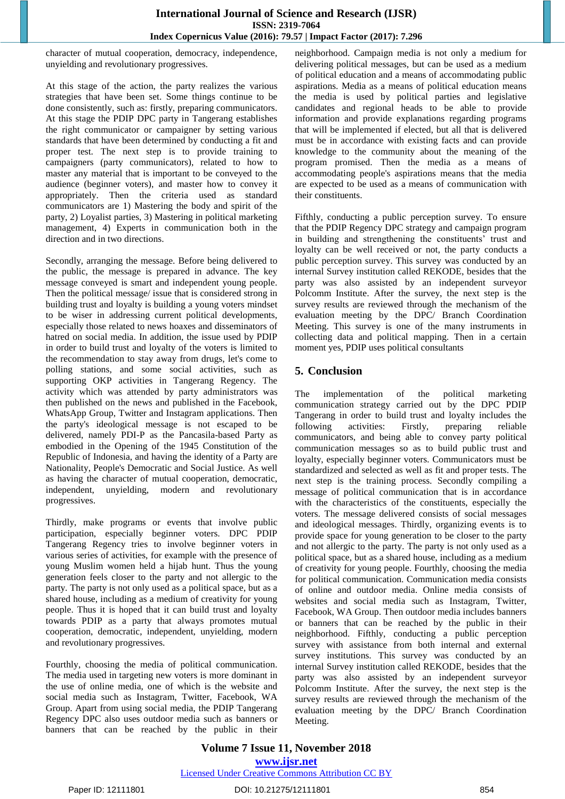character of mutual cooperation, democracy, independence, unyielding and revolutionary progressives.

At this stage of the action, the party realizes the various strategies that have been set. Some things continue to be done consistently, such as: firstly, preparing communicators. At this stage the PDIP DPC party in Tangerang establishes the right communicator or campaigner by setting various standards that have been determined by conducting a fit and proper test. The next step is to provide training to campaigners (party communicators), related to how to master any material that is important to be conveyed to the audience (beginner voters), and master how to convey it appropriately. Then the criteria used as standard communicators are 1) Mastering the body and spirit of the party, 2) Loyalist parties, 3) Mastering in political marketing management, 4) Experts in communication both in the direction and in two directions.

Secondly, arranging the message. Before being delivered to the public, the message is prepared in advance. The key message conveyed is smart and independent young people. Then the political message/ issue that is considered strong in building trust and loyalty is building a young voters mindset to be wiser in addressing current political developments, especially those related to news hoaxes and disseminators of hatred on social media. In addition, the issue used by PDIP in order to build trust and loyalty of the voters is limited to the recommendation to stay away from drugs, let's come to polling stations, and some social activities, such as supporting OKP activities in Tangerang Regency. The activity which was attended by party administrators was then published on the news and published in the Facebook, WhatsApp Group, Twitter and Instagram applications. Then the party's ideological message is not escaped to be delivered, namely PDI-P as the Pancasila-based Party as embodied in the Opening of the 1945 Constitution of the Republic of Indonesia, and having the identity of a Party are Nationality, People's Democratic and Social Justice. As well as having the character of mutual cooperation, democratic, independent, unyielding, modern and revolutionary progressives.

Thirdly, make programs or events that involve public participation, especially beginner voters. DPC PDIP Tangerang Regency tries to involve beginner voters in various series of activities, for example with the presence of young Muslim women held a hijab hunt. Thus the young generation feels closer to the party and not allergic to the party. The party is not only used as a political space, but as a shared house, including as a medium of creativity for young people. Thus it is hoped that it can build trust and loyalty towards PDIP as a party that always promotes mutual cooperation, democratic, independent, unyielding, modern and revolutionary progressives.

Fourthly, choosing the media of political communication. The media used in targeting new voters is more dominant in the use of online media, one of which is the website and social media such as Instagram, Twitter, Facebook, WA Group. Apart from using social media, the PDIP Tangerang Regency DPC also uses outdoor media such as banners or banners that can be reached by the public in their neighborhood. Campaign media is not only a medium for delivering political messages, but can be used as a medium of political education and a means of accommodating public aspirations. Media as a means of political education means the media is used by political parties and legislative candidates and regional heads to be able to provide information and provide explanations regarding programs that will be implemented if elected, but all that is delivered must be in accordance with existing facts and can provide knowledge to the community about the meaning of the program promised. Then the media as a means of accommodating people's aspirations means that the media are expected to be used as a means of communication with their constituents.

Fifthly, conducting a public perception survey. To ensure that the PDIP Regency DPC strategy and campaign program in building and strengthening the constituents' trust and loyalty can be well received or not, the party conducts a public perception survey. This survey was conducted by an internal Survey institution called REKODE, besides that the party was also assisted by an independent surveyor Polcomm Institute. After the survey, the next step is the survey results are reviewed through the mechanism of the evaluation meeting by the DPC/ Branch Coordination Meeting. This survey is one of the many instruments in collecting data and political mapping. Then in a certain moment yes, PDIP uses political consultants

# **5. Conclusion**

The implementation of the political marketing communication strategy carried out by the DPC PDIP Tangerang in order to build trust and loyalty includes the following activities: Firstly, preparing reliable communicators, and being able to convey party political communication messages so as to build public trust and loyalty, especially beginner voters. Communicators must be standardized and selected as well as fit and proper tests. The next step is the training process. Secondly compiling a message of political communication that is in accordance with the characteristics of the constituents, especially the voters. The message delivered consists of social messages and ideological messages. Thirdly, organizing events is to provide space for young generation to be closer to the party and not allergic to the party. The party is not only used as a political space, but as a shared house, including as a medium of creativity for young people. Fourthly, choosing the media for political communication. Communication media consists of online and outdoor media. Online media consists of websites and social media such as Instagram, Twitter, Facebook, WA Group. Then outdoor media includes banners or banners that can be reached by the public in their neighborhood. Fifthly, conducting a public perception survey with assistance from both internal and external survey institutions. This survey was conducted by an internal Survey institution called REKODE, besides that the party was also assisted by an independent surveyor Polcomm Institute. After the survey, the next step is the survey results are reviewed through the mechanism of the evaluation meeting by the DPC/ Branch Coordination Meeting.